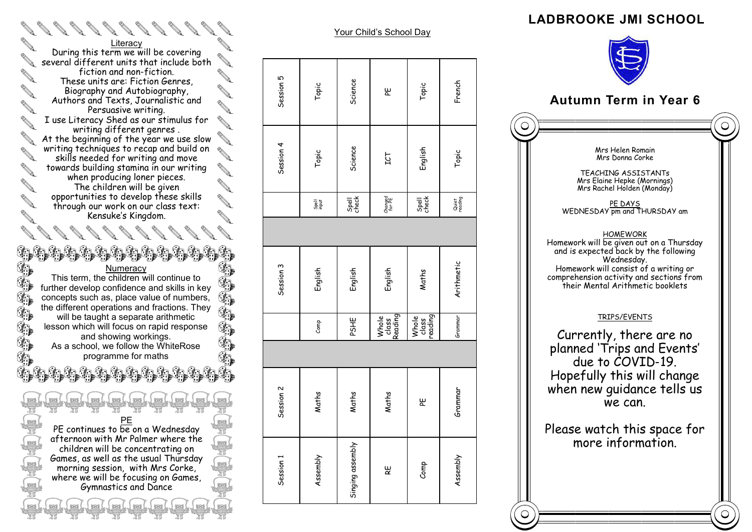## **LADBROOKE JMI SCHOOL**

## **Autumn Term in Year 6**  $\bigcirc$ Mrs Helen Romain Mrs Donna Corke TEACHING ASSISTANTs Mrs Elaine Hepke (Mornings) Mrs Rachel Holden (Monday) PE DAYS WEDNESDAY pm and THURSDAY am **HOMEWORK** Homework will be given out on a Thursday and is expected back by the following Wednesday. Homework will consist of a writing or comprehension activity and sections from their Mental Arithmetic booklets TRIPS/EVENTS Currently, there are no planned 'Trips and Events' due to COVID -19. Hopefully this will change when new quidance tells us we can. Please watch this space for more information.

**Contract Contract Contract Contract Contract Contract Contract Contract Contract Contract Contract Contract Contract Contract Contract Contract Contract Contract Contract Contract Contract Contract Contract Contract Contr Literacy** During this term we will be covering several different units that include both **COLLEGE** fiction and non -fiction. These units are: Fiction Genres, Biography and Autobiography, **ANTICATE** Authors and Texts, Journalistic and **Contract of the Contract of the Contract of The Contract of The Contract of The Contract of The Contract of The Contract of The Contract of The Contract of The Contract of The Contract of The Contract of The Contract of T** Persuasive writing. I use Literacy Shed as our stimulus for writing different genres . At the beginning of the year we use slow AT The beginning of the feature and build on skills needed for writing and move towards building stamina in our writing **CONTRACTOR** when producing loner pieces. The children will be given **AND** opportunities to develop these skills through our work on our class text: **ANTICOLOGICAL** Kensuke's Kingdom.

ی کون که به نوار میشون به نوار میشون که به نوار the the **Numeracy** This term, the children will continue to further develop confidence and skills in key concepts such as, place value of numbers, **The Contract of the Contract of the Contract of the Contract of the Contract of the Contract of the Contract of the Contract of the Contract of the Contract of the Contract of the Contract of the Contract of the Contract** the different operations and fractions. They will be taught a separate arithmetic lesson which will focus on rapid response and showing workings. As a school, we follow the WhiteRose programme for maths

T.

Î.  $\mathbb{G}$ 

> PE PE continues to be on a Wednesday afternoon with Mr Palmer where the children will be concentrating on Games, as well as the usual Thursday morning session, with Mrs Corke, where we will be focusing on Games, Gymnastics and Dance

> > les Lles Lles Lles I

 $\otimes$ 

 $\sim$ 

|ടെ (

**tool** 

 $\otimes$ 

 $\infty$ 

 $\frac{1}{2}$ 

|                   | Session 4  | Session 5 |
|-------------------|------------|-----------|
| Spell<br>Report   | Topic      | Topic     |
| Spell<br>check    | Science    | Science   |
| Changed<br>for PE | <b>LCT</b> | ۳         |
| Spell<br>check    | English    | Topic     |
| Quiet<br>reading  | Topic      | French    |

Your Child's School Day

| Session 1        | Session 2 |                           | Session 3  |                   | Session 4 | Session 5 |
|------------------|-----------|---------------------------|------------|-------------------|-----------|-----------|
| Assembly         | Maths     | Comp                      | English    | 공동                | Topic     | Topic     |
| Singing assembly | Maths     | PSHE                      | English    | Spell<br>check    | Science   | Science   |
| ξĚ               | Maths     | Whole<br>class<br>Reading | English    | Changed<br>for PE | LCT       | ہیر       |
| Comp             | ہیر       | Whole<br>class<br>reading | Maths      | Spell<br>check    | English   | Topic     |
| Assembly         | Grammar   | Grammar                   | Arithmetic | Quiet<br>reading  | Topic     | French    |



 $\bigcirc$ 

 $\bigcirc$